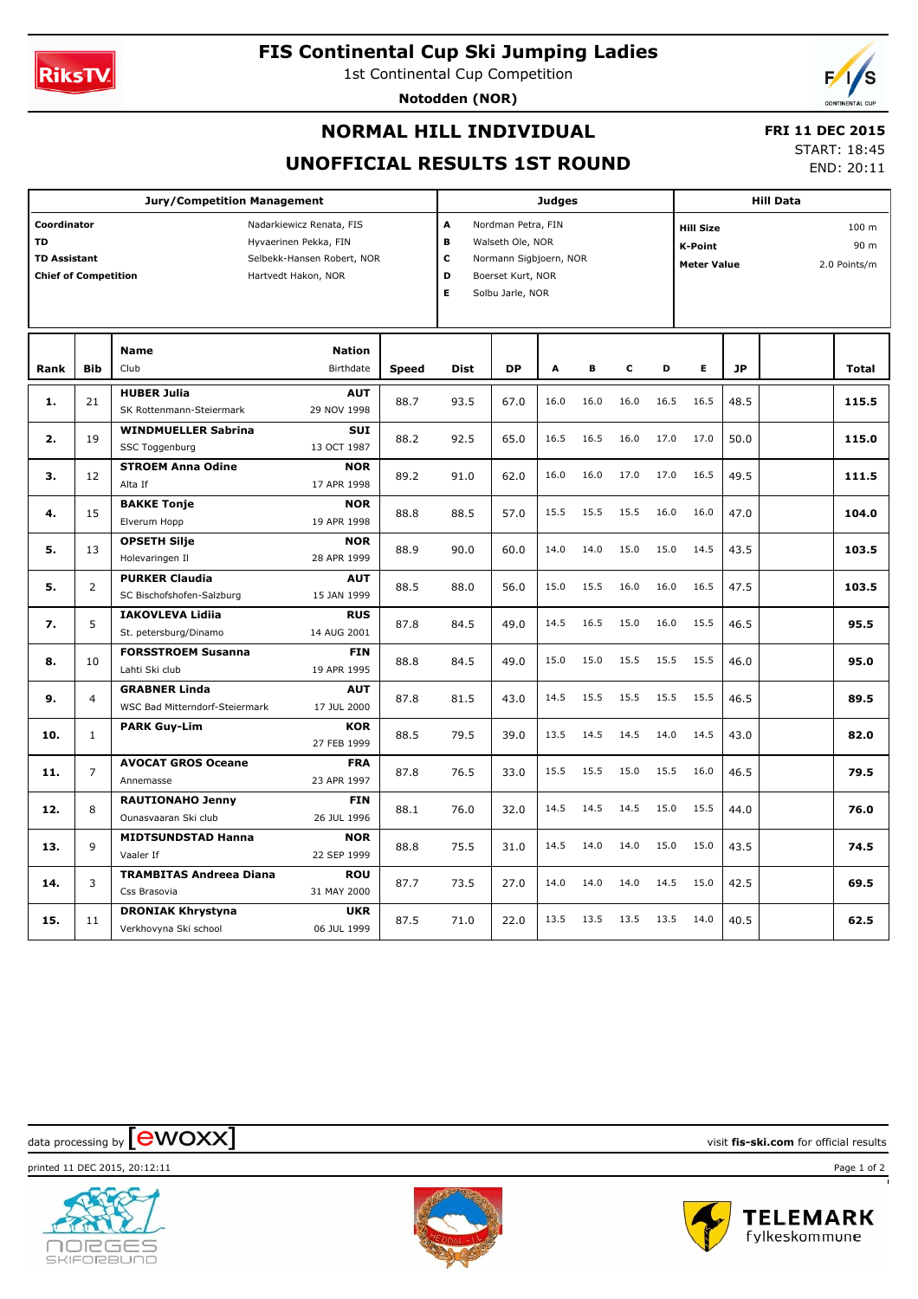

## **FIS Continental Cup Ski Jumping Ladies**

1st Continental Cup Competition

**Notodden (NOR)**



### **NORMAL HILL INDIVIDUAL**

# **FRI 11 DEC 2015**

**UNOFFICIAL RESULTS 1ST ROUND**

START: 18:45 END: 20:11

| <b>Jury/Competition Management</b>                                                                                                                                                       |                |                                                        |                           |                                                                                                                                    |             | Judges    |      |      |      |                                                   |      | <b>Hill Data</b>              |  |              |  |  |
|------------------------------------------------------------------------------------------------------------------------------------------------------------------------------------------|----------------|--------------------------------------------------------|---------------------------|------------------------------------------------------------------------------------------------------------------------------------|-------------|-----------|------|------|------|---------------------------------------------------|------|-------------------------------|--|--------------|--|--|
| Coordinator<br>Nadarkiewicz Renata, FIS<br><b>TD</b><br>Hyvaerinen Pekka, FIN<br><b>TD Assistant</b><br>Selbekk-Hansen Robert, NOR<br><b>Chief of Competition</b><br>Hartvedt Hakon, NOR |                |                                                        |                           | A<br>Nordman Petra, FIN<br>B<br>Walseth Ole, NOR<br>С<br>Normann Sigbjoern, NOR<br>D<br>Boerset Kurt, NOR<br>E<br>Solbu Jarle, NOR |             |           |      |      |      | <b>Hill Size</b><br>K-Point<br><b>Meter Value</b> |      | 100 m<br>90 m<br>2.0 Points/m |  |              |  |  |
|                                                                                                                                                                                          |                | <b>Name</b>                                            |                           |                                                                                                                                    |             |           |      |      |      |                                                   |      |                               |  |              |  |  |
| Rank                                                                                                                                                                                     | <b>Bib</b>     | Club                                                   | Birthdate                 | <b>Speed</b>                                                                                                                       | <b>Dist</b> | <b>DP</b> | A    | В    | c    | D                                                 | Е    | <b>JP</b>                     |  | <b>Total</b> |  |  |
| 1.                                                                                                                                                                                       | 21             | <b>HUBER Julia</b><br>SK Rottenmann-Steiermark         | <b>AUT</b><br>29 NOV 1998 | 88.7                                                                                                                               | 93.5        | 67.0      | 16.0 | 16.0 | 16.0 | 16.5                                              | 16.5 | 48.5                          |  | 115.5        |  |  |
| 2.                                                                                                                                                                                       | 19             | <b>WINDMUELLER Sabrina</b><br>SSC Toggenburg           | <b>SUI</b><br>13 OCT 1987 | 88.2                                                                                                                               | 92.5        | 65.0      | 16.5 | 16.5 | 16.0 | 17.0                                              | 17.0 | 50.0                          |  | 115.0        |  |  |
| з.                                                                                                                                                                                       | 12             | <b>STROEM Anna Odine</b><br>Alta If                    | <b>NOR</b><br>17 APR 1998 | 89.2                                                                                                                               | 91.0        | 62.0      | 16.0 | 16.0 | 17.0 | 17.0                                              | 16.5 | 49.5                          |  | 111.5        |  |  |
| 4.                                                                                                                                                                                       | 15             | <b>BAKKE Tonje</b><br>Elverum Hopp                     | <b>NOR</b><br>19 APR 1998 | 88.8                                                                                                                               | 88.5        | 57.0      | 15.5 | 15.5 | 15.5 | 16.0                                              | 16.0 | 47.0                          |  | 104.0        |  |  |
| 5.                                                                                                                                                                                       | 13             | <b>OPSETH Silje</b><br>Holevaringen Il                 | <b>NOR</b><br>28 APR 1999 | 88.9                                                                                                                               | 90.0        | 60.0      | 14.0 | 14.0 | 15.0 | 15.0                                              | 14.5 | 43.5                          |  | 103.5        |  |  |
| 5.                                                                                                                                                                                       | $\overline{2}$ | <b>PURKER Claudia</b><br>SC Bischofshofen-Salzburg     | <b>AUT</b><br>15 JAN 1999 | 88.5                                                                                                                               | 88.0        | 56.0      | 15.0 | 15.5 | 16.0 | 16.0                                              | 16.5 | 47.5                          |  | 103.5        |  |  |
| 7.                                                                                                                                                                                       | 5              | <b>IAKOVLEVA Lidiia</b><br>St. petersburg/Dinamo       | <b>RUS</b><br>14 AUG 2001 | 87.8                                                                                                                               | 84.5        | 49.0      | 14.5 | 16.5 | 15.0 | 16.0                                              | 15.5 | 46.5                          |  | 95.5         |  |  |
| 8.                                                                                                                                                                                       | 10             | <b>FORSSTROEM Susanna</b><br>Lahti Ski club            | <b>FIN</b><br>19 APR 1995 | 88.8                                                                                                                               | 84.5        | 49.0      | 15.0 | 15.0 | 15.5 | 15.5                                              | 15.5 | 46.0                          |  | 95.0         |  |  |
| 9.                                                                                                                                                                                       | $\overline{4}$ | <b>GRABNER Linda</b><br>WSC Bad Mitterndorf-Steiermark | <b>AUT</b><br>17 JUL 2000 | 87.8                                                                                                                               | 81.5        | 43.0      | 14.5 | 15.5 | 15.5 | 15.5                                              | 15.5 | 46.5                          |  | 89.5         |  |  |
| 10.                                                                                                                                                                                      | $\mathbf{1}$   | <b>PARK Guy-Lim</b>                                    | <b>KOR</b><br>27 FEB 1999 | 88.5                                                                                                                               | 79.5        | 39.0      | 13.5 | 14.5 | 14.5 | 14.0                                              | 14.5 | 43.0                          |  | 82.0         |  |  |
| 11.                                                                                                                                                                                      | $\overline{7}$ | <b>AVOCAT GROS Oceane</b><br>Annemasse                 | <b>FRA</b><br>23 APR 1997 | 87.8                                                                                                                               | 76.5        | 33.0      | 15.5 | 15.5 | 15.0 | 15.5                                              | 16.0 | 46.5                          |  | 79.5         |  |  |
| 12.                                                                                                                                                                                      | 8              | <b>RAUTIONAHO Jenny</b><br>Ounasvaaran Ski club        | <b>FIN</b><br>26 JUL 1996 | 88.1                                                                                                                               | 76.0        | 32.0      | 14.5 | 14.5 | 14.5 | 15.0                                              | 15.5 | 44.0                          |  | 76.0         |  |  |
| 13.                                                                                                                                                                                      | 9              | <b>MIDTSUNDSTAD Hanna</b><br>Vaaler If                 | <b>NOR</b><br>22 SEP 1999 | 88.8                                                                                                                               | 75.5        | 31.0      | 14.5 | 14.0 | 14.0 | 15.0                                              | 15.0 | 43.5                          |  | 74.5         |  |  |
| 14.                                                                                                                                                                                      | 3              | <b>TRAMBITAS Andreea Diana</b><br>Css Brasovia         | <b>ROU</b><br>31 MAY 2000 | 87.7                                                                                                                               | 73.5        | 27.0      | 14.0 | 14.0 | 14.0 | 14.5                                              | 15.0 | 42.5                          |  | 69.5         |  |  |
| 15.                                                                                                                                                                                      | 11             | <b>DRONIAK Khrystyna</b><br>Verkhovyna Ski school      | <b>UKR</b><br>06 JUL 1999 | 87.5                                                                                                                               | 71.0        | 22.0      | 13.5 | 13.5 | 13.5 | 13.5                                              | 14.0 | 40.5                          |  | 62.5         |  |  |

 $\frac{1}{2}$  data processing by  $\boxed{\text{ewOX}}$ 



**NORGES** SKIFORBUND



printed 11 DEC 2015, 20:12:11 Page 1 of 2